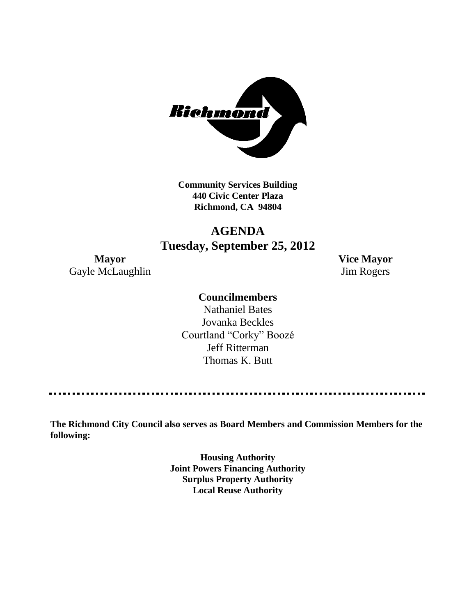

**Community Services Building 440 Civic Center Plaza Richmond, CA 94804**

## **AGENDA Tuesday, September 25, 2012**

Gayle McLaughlin Jim Rogers

**Mayor Vice Mayor**

## **Councilmembers**

Nathaniel Bates Jovanka Beckles Courtland "Corky" Boozé Jeff Ritterman Thomas K. Butt

**The Richmond City Council also serves as Board Members and Commission Members for the following:**

> **Housing Authority Joint Powers Financing Authority Surplus Property Authority Local Reuse Authority**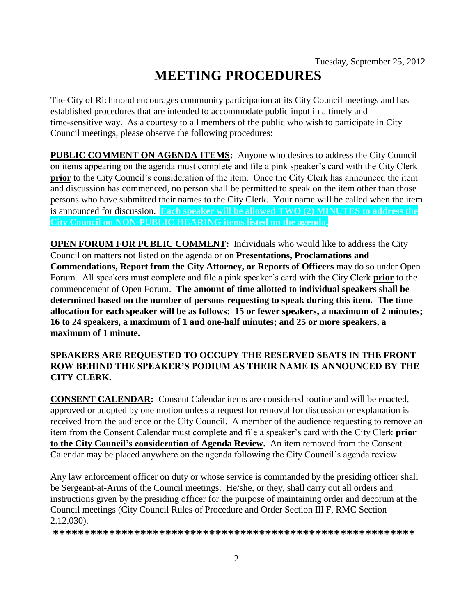# **MEETING PROCEDURES**

The City of Richmond encourages community participation at its City Council meetings and has established procedures that are intended to accommodate public input in a timely and time-sensitive way. As a courtesy to all members of the public who wish to participate in City Council meetings, please observe the following procedures:

**PUBLIC COMMENT ON AGENDA ITEMS:** Anyone who desires to address the City Council on items appearing on the agenda must complete and file a pink speaker's card with the City Clerk **prior** to the City Council's consideration of the item. Once the City Clerk has announced the item and discussion has commenced, no person shall be permitted to speak on the item other than those persons who have submitted their names to the City Clerk. Your name will be called when the item is announced for discussion. **Each speaker will be allowed TWO (2) MINUTES to address the City Council on NON-PUBLIC HEARING items listed on the agenda.**

**OPEN FORUM FOR PUBLIC COMMENT:** Individuals who would like to address the City Council on matters not listed on the agenda or on **Presentations, Proclamations and Commendations, Report from the City Attorney, or Reports of Officers** may do so under Open Forum. All speakers must complete and file a pink speaker's card with the City Clerk **prior** to the commencement of Open Forum. **The amount of time allotted to individual speakers shall be determined based on the number of persons requesting to speak during this item. The time allocation for each speaker will be as follows: 15 or fewer speakers, a maximum of 2 minutes; 16 to 24 speakers, a maximum of 1 and one-half minutes; and 25 or more speakers, a maximum of 1 minute.**

## **SPEAKERS ARE REQUESTED TO OCCUPY THE RESERVED SEATS IN THE FRONT ROW BEHIND THE SPEAKER'S PODIUM AS THEIR NAME IS ANNOUNCED BY THE CITY CLERK.**

**CONSENT CALENDAR:** Consent Calendar items are considered routine and will be enacted, approved or adopted by one motion unless a request for removal for discussion or explanation is received from the audience or the City Council. A member of the audience requesting to remove an item from the Consent Calendar must complete and file a speaker's card with the City Clerk **prior to the City Council's consideration of Agenda Review.** An item removed from the Consent Calendar may be placed anywhere on the agenda following the City Council's agenda review.

Any law enforcement officer on duty or whose service is commanded by the presiding officer shall be Sergeant-at-Arms of the Council meetings. He/she, or they, shall carry out all orders and instructions given by the presiding officer for the purpose of maintaining order and decorum at the Council meetings (City Council Rules of Procedure and Order Section III F, RMC Section 2.12.030).

**\*\*\*\*\*\*\*\*\*\*\*\*\*\*\*\*\*\*\*\*\*\*\*\*\*\*\*\*\*\*\*\*\*\*\*\*\*\*\*\*\*\*\*\*\*\*\*\*\*\*\*\*\*\*\*\*\*\***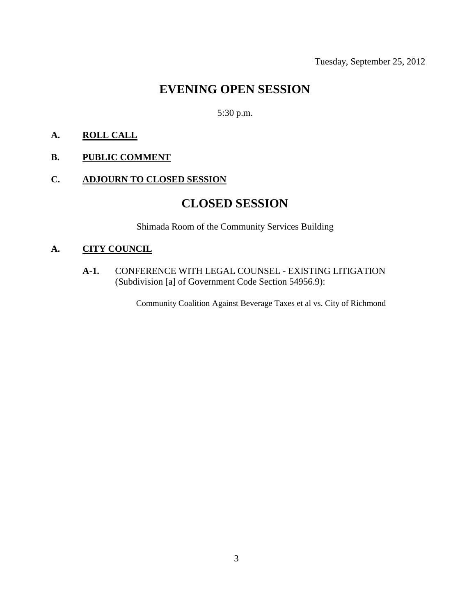## **EVENING OPEN SESSION**

5:30 p.m.

## **A. ROLL CALL**

## **B. PUBLIC COMMENT**

## **C. ADJOURN TO CLOSED SESSION**

## **CLOSED SESSION**

Shimada Room of the Community Services Building

## **A. CITY COUNCIL**

**A-1.** CONFERENCE WITH LEGAL COUNSEL - EXISTING LITIGATION (Subdivision [a] of Government Code Section 54956.9):

Community Coalition Against Beverage Taxes et al vs. City of Richmond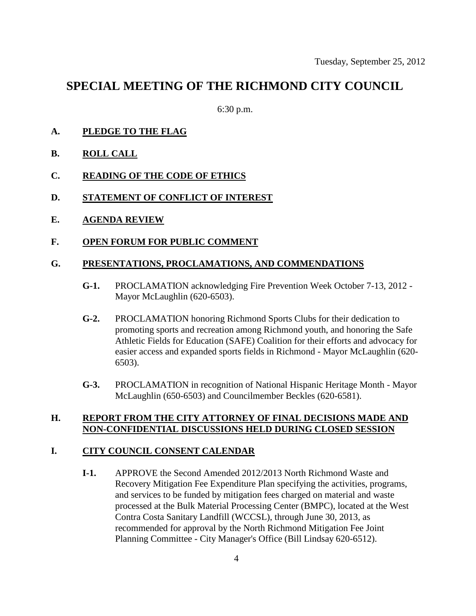## **SPECIAL MEETING OF THE RICHMOND CITY COUNCIL**

6:30 p.m.

- **A. PLEDGE TO THE FLAG**
- **B. ROLL CALL**
- **C. READING OF THE CODE OF ETHICS**
- **D. STATEMENT OF CONFLICT OF INTEREST**
- **E. AGENDA REVIEW**
- **F. OPEN FORUM FOR PUBLIC COMMENT**

#### **G. PRESENTATIONS, PROCLAMATIONS, AND COMMENDATIONS**

- **G-1.** PROCLAMATION acknowledging Fire Prevention Week October 7-13, 2012 Mayor McLaughlin (620-6503).
- **G-2.** PROCLAMATION honoring Richmond Sports Clubs for their dedication to promoting sports and recreation among Richmond youth, and honoring the Safe Athletic Fields for Education (SAFE) Coalition for their efforts and advocacy for easier access and expanded sports fields in Richmond - Mayor McLaughlin (620- 6503).
- **G-3.** PROCLAMATION in recognition of National Hispanic Heritage Month Mayor McLaughlin (650-6503) and Councilmember Beckles (620-6581).

### **H. REPORT FROM THE CITY ATTORNEY OF FINAL DECISIONS MADE AND NON-CONFIDENTIAL DISCUSSIONS HELD DURING CLOSED SESSION**

## **I. CITY COUNCIL CONSENT CALENDAR**

**I-1.** APPROVE the Second Amended 2012/2013 North Richmond Waste and Recovery Mitigation Fee Expenditure Plan specifying the activities, programs, and services to be funded by mitigation fees charged on material and waste processed at the Bulk Material Processing Center (BMPC), located at the West Contra Costa Sanitary Landfill (WCCSL), through June 30, 2013, as recommended for approval by the North Richmond Mitigation Fee Joint Planning Committee - City Manager's Office (Bill Lindsay 620-6512).